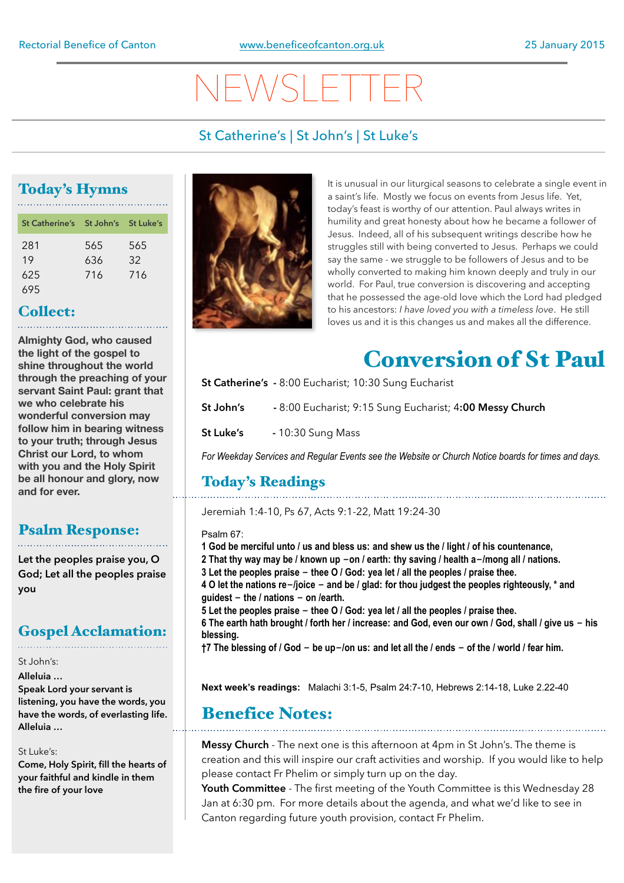# NEWSLETTER

## St Catherine's | St John's | St Luke's

# Today's Hymns

| St Catherine's St John's St Luke's |     |     |
|------------------------------------|-----|-----|
| 281                                | 565 | 565 |
| 19                                 | 636 | 32  |
| 625                                | 716 | 716 |
| 695                                |     |     |

### Collect:

**Almighty God, who caused the light of the gospel to shine throughout the world through the preaching of your servant Saint Paul: grant that we who celebrate his wonderful conversion may follow him in bearing witness to your truth; through Jesus Christ our Lord, to whom with you and the Holy Spirit be all honour and glory, now and for ever.** 

### Psalm Response:

**Let the peoples praise you, O God; Let all the peoples praise you**

# Gospel Acclamation:

#### St John's: **Alleluia …**

**Speak Lord your servant is listening, you have the words, you have the words, of everlasting life. Alleluia …**

#### St Luke's:

**Come, Holy Spirit, fill the hearts of your faithful and kindle in them the fire of your love**



It is unusual in our liturgical seasons to celebrate a single event in a saint's life. Mostly we focus on events from Jesus life. Yet, today's feast is worthy of our attention. Paul always writes in humility and great honesty about how he became a follower of Jesus. Indeed, all of his subsequent writings describe how he struggles still with being converted to Jesus. Perhaps we could say the same - we struggle to be followers of Jesus and to be wholly converted to making him known deeply and truly in our world. For Paul, true conversion is discovering and accepting that he possessed the age-old love which the Lord had pledged to his ancestors: *I have loved you with a timeless love*. He still loves us and it is this changes us and makes all the difference.

# Conversion of St Paul

**St Catherine's -** 8:00 Eucharist; 10:30 Sung Eucharist

**St John's -** 8:00 Eucharist; 9:15 Sung Eucharist; 4**:00 Messy Church** 

**St Luke's - 10:30 Sung Mass** 

*For Weekday Services and Regular Events see the Website or Church Notice boards for times and days.*

# Today's Readings

Jeremiah 1:4-10, Ps 67, Acts 9:1-22, Matt 19:24-30

#### Psalm 67:

**1 God be merciful unto / us and bless us: and shew us the / light / of his countenance,**

- **2 That thy way may be / known up -on / earth: thy saving / health a-/mong all / nations.**
- **3 Let the peoples praise - thee O / God: yea let / all the peoples / praise thee.**

**4 O let the nations re-/joice - and be / glad: for thou judgest the peoples righteously, \* and guidest - the / nations - on /earth.**

**5 Let the peoples praise - thee O / God: yea let / all the peoples / praise thee.**

**6 The earth hath brought / forth her / increase: and God, even our own / God, shall / give us - his blessing.**

**†7 The blessing of / God - be up-/on us: and let all the / ends - of the / world / fear him.**

**Next week's readings:** Malachi 3:1-5, Psalm 24:7-10, Hebrews 2:14-18, Luke 2.22-40

# Benefice Notes:

**Messy Church** - The next one is this afternoon at 4pm in St John's. The theme is creation and this will inspire our craft activities and worship. If you would like to help please contact Fr Phelim or simply turn up on the day.

**Youth Committee** - The first meeting of the Youth Committee is this Wednesday 28 Jan at 6:30 pm. For more details about the agenda, and what we'd like to see in Canton regarding future youth provision, contact Fr Phelim.